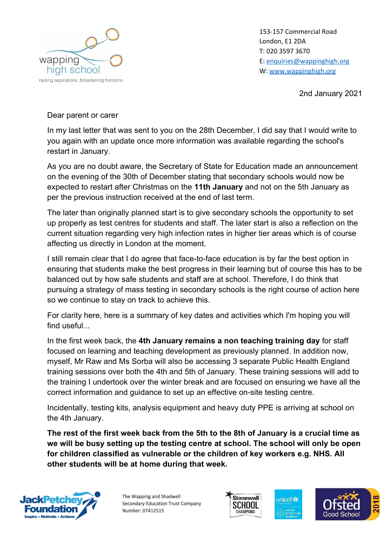

153-157 Commercial Road London, E1 2DA T: 020 3597 3670 E: [enquiries@wappinghigh.org](mailto:enquiries@wappinghigh.org) W: [www.wappinghigh.org](http://www.wappinghigh.org/)

2nd January 2021

## Dear parent or carer

In my last letter that was sent to you on the 28th December, I did say that I would write to you again with an update once more information was available regarding the school's restart in January.

As you are no doubt aware, the Secretary of State for Education made an announcement on the evening of the 30th of December stating that secondary schools would now be expected to restart after Christmas on the **11th January** and not on the 5th January as per the previous instruction received at the end of last term.

The later than originally planned start is to give secondary schools the opportunity to set up properly as test centres for students and staff. The later start is also a reflection on the current situation regarding very high infection rates in higher tier areas which is of course affecting us directly in London at the moment.

I still remain clear that I do agree that face-to-face education is by far the best option in ensuring that students make the best progress in their learning but of course this has to be balanced out by how safe students and staff are at school. Therefore, I do think that pursuing a strategy of mass testing in secondary schools is the right course of action here so we continue to stay on track to achieve this.

For clarity here, here is a summary of key dates and activities which I'm hoping you will find useful...

In the first week back, the **4th January remains a non teaching training day** for staff focused on learning and teaching development as previously planned. In addition now, myself, Mr Raw and Ms Sorba will also be accessing 3 separate Public Health England training sessions over both the 4th and 5th of January. These training sessions will add to the training I undertook over the winter break and are focused on ensuring we have all the correct information and guidance to set up an effective on-site testing centre.

Incidentally, testing kits, analysis equipment and heavy duty PPE is arriving at school on the 4th January.

**The rest of the first week back from the 5th to the 8th of January is a crucial time as we will be busy setting up the testing centre at school. The school will only be open for children classified as vulnerable or the children of key workers e.g. NHS. All other students will be at home during that week.**



The Wapping and Shadwell Secondary Education Trust Company Number: 07412515





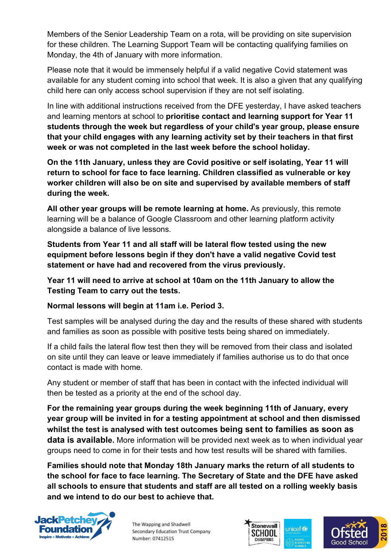Members of the Senior Leadership Team on a rota, will be providing on site supervision for these children. The Learning Support Team will be contacting qualifying families on Monday, the 4th of January with more information.

Please note that it would be immensely helpful if a valid negative Covid statement was available for any student coming into school that week. It is also a given that any qualifying child here can only access school supervision if they are not self isolating.

In line with additional instructions received from the DFE yesterday, I have asked teachers and learning mentors at school to **prioritise contact and learning support for Year 11 students through the week but regardless of your child's year group, please ensure that your child engages with any learning activity set by their teachers in that first week or was not completed in the last week before the school holiday.**

**On the 11th January, unless they are Covid positive or self isolating, Year 11 will return to school for face to face learning. Children classified as vulnerable or key worker children will also be on site and supervised by available members of staff during the week.**

**All other year groups will be remote learning at home.** As previously, this remote learning will be a balance of Google Classroom and other learning platform activity alongside a balance of live lessons.

**Students from Year 11 and all staff will be lateral flow tested using the new equipment before lessons begin if they don't have a valid negative Covid test statement or have had and recovered from the virus previously.**

**Year 11 will need to arrive at school at 10am on the 11th January to allow the Testing Team to carry out the tests.**

## **Normal lessons will begin at 11am i.e. Period 3.**

Test samples will be analysed during the day and the results of these shared with students and families as soon as possible with positive tests being shared on immediately.

If a child fails the lateral flow test then they will be removed from their class and isolated on site until they can leave or leave immediately if families authorise us to do that once contact is made with home.

Any student or member of staff that has been in contact with the infected individual will then be tested as a priority at the end of the school day.

**For the remaining year groups during the week beginning 11th of January, every year group will be invited in for a testing appointment at school and then dismissed whilst the test is analysed with test outcomes being sent to families as soon as data is available.** More information will be provided next week as to when individual year groups need to come in for their tests and how test results will be shared with families.

**Families should note that Monday 18th January marks the return of all students to the school for face to face learning. The Secretary of State and the DFE have asked all schools to ensure that students and staff are all tested on a rolling weekly basis and we intend to do our best to achieve that.**



The Wapping and Shadwell Secondary Education Trust Company Number: 07412515